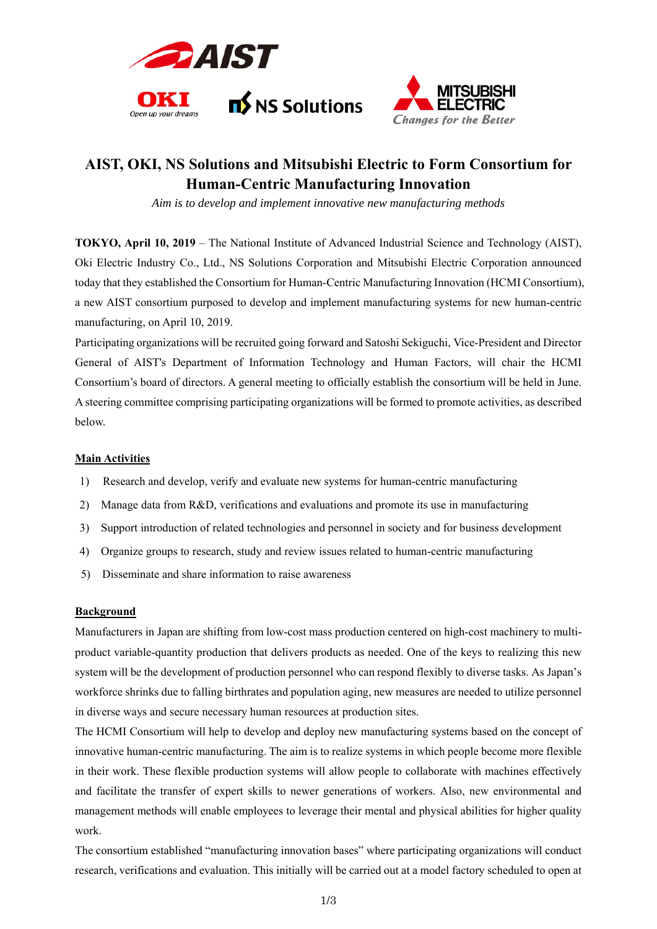



# **AIST, OKI, NS Solutions and Mitsubishi Electric to Form Consortium for Human-Centric Manufacturing Innovation**

*Aim is to develop and implement innovative new manufacturing methods* 

**TOKYO, April 10, 2019** – The National Institute of Advanced Industrial Science and Technology (AIST), Oki Electric Industry Co., Ltd., NS Solutions Corporation and Mitsubishi Electric Corporation announced today that they established the Consortium for Human-Centric Manufacturing Innovation (HCMI Consortium), a new AIST consortium purposed to develop and implement manufacturing systems for new human-centric manufacturing, on April 10, 2019.

Participating organizations will be recruited going forward and Satoshi Sekiguchi, Vice-President and Director General of AIST's Department of Information Technology and Human Factors, will chair the HCMI Consortium's board of directors. A general meeting to officially establish the consortium will be held in June. A steering committee comprising participating organizations will be formed to promote activities, as described below.

## **Main Activities**

- 1) Research and develop, verify and evaluate new systems for human-centric manufacturing
- 2) Manage data from R&D, verifications and evaluations and promote its use in manufacturing
- 3) Support introduction of related technologies and personnel in society and for business development
- 4) Organize groups to research, study and review issues related to human-centric manufacturing
- 5) Disseminate and share information to raise awareness

## **Background**

Manufacturers in Japan are shifting from low-cost mass production centered on high-cost machinery to multiproduct variable-quantity production that delivers products as needed. One of the keys to realizing this new system will be the development of production personnel who can respond flexibly to diverse tasks. As Japan's workforce shrinks due to falling birthrates and population aging, new measures are needed to utilize personnel in diverse ways and secure necessary human resources at production sites.

The HCMI Consortium will help to develop and deploy new manufacturing systems based on the concept of innovative human-centric manufacturing. The aim is to realize systems in which people become more flexible in their work. These flexible production systems will allow people to collaborate with machines effectively and facilitate the transfer of expert skills to newer generations of workers. Also, new environmental and management methods will enable employees to leverage their mental and physical abilities for higher quality work.

The consortium established "manufacturing innovation bases" where participating organizations will conduct research, verifications and evaluation. This initially will be carried out at a model factory scheduled to open at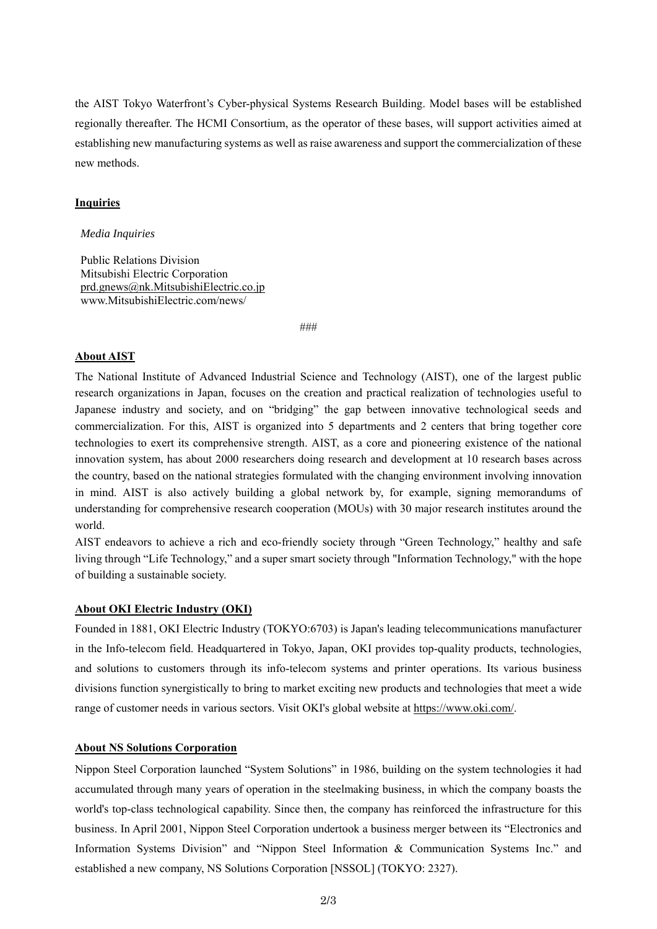the AIST Tokyo Waterfront's Cyber-physical Systems Research Building. Model bases will be established regionally thereafter. The HCMI Consortium, as the operator of these bases, will support activities aimed at establishing new manufacturing systems as well as raise awareness and support the commercialization of these new methods.

## **Inquiries**

#### *Media Inquiries*

Public Relations Division Mitsubishi Electric Corporation prd.gnews@nk.MitsubishiElectric.co.jp www.MitsubishiElectric.com/news/

###

## **About AIST**

The National Institute of Advanced Industrial Science and Technology (AIST), one of the largest public research organizations in Japan, focuses on the creation and practical realization of technologies useful to Japanese industry and society, and on "bridging" the gap between innovative technological seeds and commercialization. For this, AIST is organized into 5 departments and 2 centers that bring together core technologies to exert its comprehensive strength. AIST, as a core and pioneering existence of the national innovation system, has about 2000 researchers doing research and development at 10 research bases across the country, based on the national strategies formulated with the changing environment involving innovation in mind. AIST is also actively building a global network by, for example, signing memorandums of understanding for comprehensive research cooperation (MOUs) with 30 major research institutes around the world.

AIST endeavors to achieve a rich and eco-friendly society through "Green Technology," healthy and safe living through "Life Technology," and a super smart society through "Information Technology," with the hope of building a sustainable society.

# **About OKI Electric Industry (OKI)**

Founded in 1881, OKI Electric Industry (TOKYO:6703) is Japan's leading telecommunications manufacturer in the Info-telecom field. Headquartered in Tokyo, Japan, OKI provides top-quality products, technologies, and solutions to customers through its info-telecom systems and printer operations. Its various business divisions function synergistically to bring to market exciting new products and technologies that meet a wide range of customer needs in various sectors. Visit OKI's global website at https://www.oki.com/.

## **About NS Solutions Corporation**

Nippon Steel Corporation launched "System Solutions" in 1986, building on the system technologies it had accumulated through many years of operation in the steelmaking business, in which the company boasts the world's top-class technological capability. Since then, the company has reinforced the infrastructure for this business. In April 2001, Nippon Steel Corporation undertook a business merger between its "Electronics and Information Systems Division" and "Nippon Steel Information & Communication Systems Inc." and established a new company, NS Solutions Corporation [NSSOL] (TOKYO: 2327).